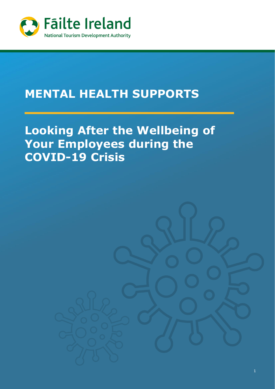

# **MENTAL HEALTH SUPPORTS**

# **Looking After the Wellbeing of Your Employees during the COVID-19 Crisis**

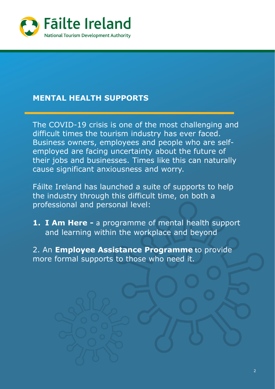

## **MENTAL HEALTH SUPPORTS**

The COVID-19 crisis is one of the most challenging and difficult times the tourism industry has ever faced. Business owners, employees and people who are selfemployed are facing uncertainty about the future of their jobs and businesses. Times like this can naturally cause significant anxiousness and worry.

Fáilte Ireland has launched a suite of supports to help the industry through this difficult time, on both a professional and personal level:

**1. I Am Here -** a programme of mental health support and learning within the workplace and beyond

2. An **Employee Assistance Programme t**o provide more formal supports to those who need it.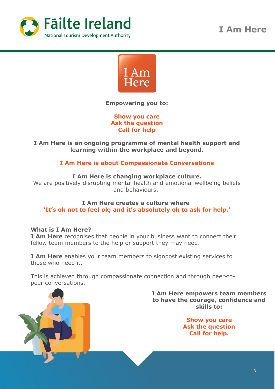

**I Am Here**



**Empowering you to:**

**Show you care Ask the question Call for help**

**I Am Here is an ongoing programme of mental health support and learning within the workplace and beyond.**

#### **I Am Here is about Compassionate Conversations**

#### **I Am Here is changing workplace culture.**

We are positively disrupting mental health and emotional wellbeing beliefs and behaviours.

#### **I Am Here creates a culture where 'It's ok not to feel ok; and it's absolutely ok to ask for help.'**

#### **What is I Am Here?**

**I Am Here** recognises that people in your business want to connect their fellow team members to the help or support they may need.

**I Am Here** enables your team members to signpost existing services to those who need it.

This is achieved through compassionate connection and through peer-topeer conversations.

> **I Am Here empowers team members to have the courage, confidence and skills to:**

> > **Show you care Ask the question Call for help.**

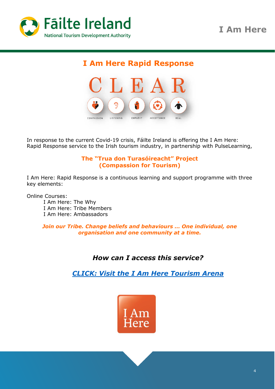

# **I Am Here Rapid Response**



In response to the current Covid-19 crisis, Fáilte Ireland is offering the I Am Here: Rapid Response service to the Irish tourism industry, in partnership with PulseLearning,

#### **The "Trua don Turasóireacht" Project (Compassion for Tourism)**

I Am Here: Rapid Response is a continuous learning and support programme with three key elements:

Online Courses:

I Am Here: The Why I Am Here: Tribe Members I Am Here: Ambassadors

*Join our Tribe. Change beliefs and behaviours … One individual, one organisation and one community at a time.*

## *How can I access this service?*

*[CLICK: Visit the I Am Here Tourism Arena](https://irishtourismarena.iamheretribe.com/)*

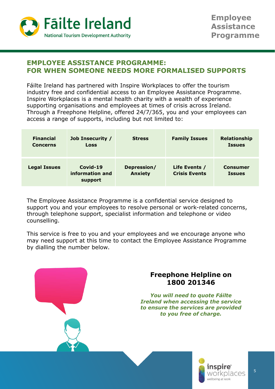

### **EMPLOYEE ASSISTANCE PROGRAMME: FOR WHEN SOMEONE NEEDS MORE FORMALISED SUPPORTS**

Fáilte Ireland has partnered with Inspire Workplaces to offer the tourism industry free and confidential access to an Employee Assistance Programme. Inspire Workplaces is a mental health charity with a wealth of experience supporting organisations and employees at times of crisis across Ireland. Through a Freephone Helpline, offered 24/7/365, you and your employees can access a range of supports, including but not limited to:

| <b>Financial</b><br><b>Concerns</b> | <b>Job Insecurity /</b><br><b>Loss</b>   | <b>Stress</b>                 | <b>Family Issues</b>                  | <b>Relationship</b><br><b>Issues</b> |
|-------------------------------------|------------------------------------------|-------------------------------|---------------------------------------|--------------------------------------|
| <b>Legal Issues</b>                 | $Covid-19$<br>information and<br>support | Depression/<br><b>Anxiety</b> | Life Events /<br><b>Crisis Events</b> | <b>Consumer</b><br><b>Issues</b>     |

The Employee Assistance Programme is a confidential service designed to support you and your employees to resolve personal or work-related concerns, through telephone support, specialist information and telephone or video counselling.

This service is free to you and your employees and we encourage anyone who may need support at this time to contact the Employee Assistance Programme by dialling the number below.

### **Freephone Helpline on 1800 201346**

*You will need to quote Fáilte Ireland when accessing the service to ensure the services are provided to you free of charge.*